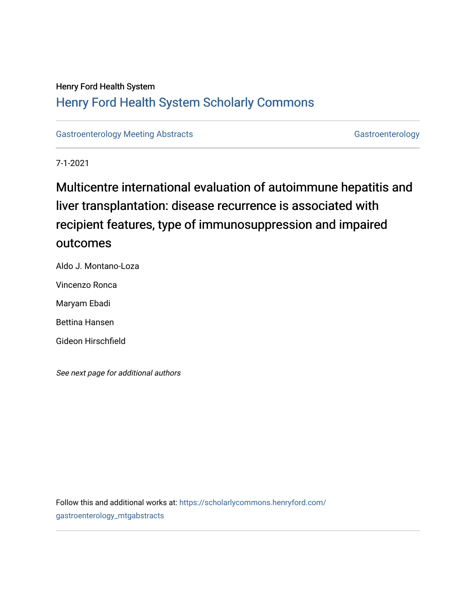## Henry Ford Health System [Henry Ford Health System Scholarly Commons](https://scholarlycommons.henryford.com/)

[Gastroenterology Meeting Abstracts](https://scholarlycommons.henryford.com/gastroenterology_mtgabstracts) [Gastroenterology](https://scholarlycommons.henryford.com/gastroenterology) Gastroenterology

7-1-2021

# Multicentre international evaluation of autoimmune hepatitis and liver transplantation: disease recurrence is associated with recipient features, type of immunosuppression and impaired outcomes

Aldo J. Montano-Loza Vincenzo Ronca Maryam Ebadi Bettina Hansen Gideon Hirschfield

See next page for additional authors

Follow this and additional works at: [https://scholarlycommons.henryford.com/](https://scholarlycommons.henryford.com/gastroenterology_mtgabstracts?utm_source=scholarlycommons.henryford.com%2Fgastroenterology_mtgabstracts%2F128&utm_medium=PDF&utm_campaign=PDFCoverPages) [gastroenterology\\_mtgabstracts](https://scholarlycommons.henryford.com/gastroenterology_mtgabstracts?utm_source=scholarlycommons.henryford.com%2Fgastroenterology_mtgabstracts%2F128&utm_medium=PDF&utm_campaign=PDFCoverPages)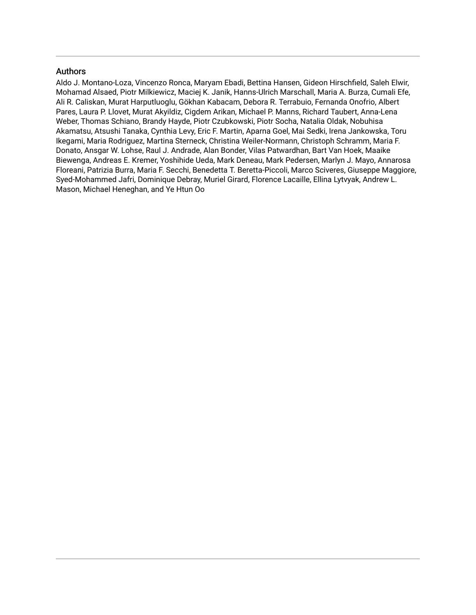### Authors

Aldo J. Montano-Loza, Vincenzo Ronca, Maryam Ebadi, Bettina Hansen, Gideon Hirschfield, Saleh Elwir, Mohamad Alsaed, Piotr Milkiewicz, Maciej K. Janik, Hanns-Ulrich Marschall, Maria A. Burza, Cumali Efe, Ali R. Caliskan, Murat Harputluoglu, Gökhan Kabacam, Debora R. Terrabuio, Fernanda Onofrio, Albert Pares, Laura P. Llovet, Murat Akyildiz, Cigdem Arikan, Michael P. Manns, Richard Taubert, Anna-Lena Weber, Thomas Schiano, Brandy Hayde, Piotr Czubkowski, Piotr Socha, Natalia Oldak, Nobuhisa Akamatsu, Atsushi Tanaka, Cynthia Levy, Eric F. Martin, Aparna Goel, Mai Sedki, Irena Jankowska, Toru Ikegami, Maria Rodriguez, Martina Sterneck, Christina Weiler-Normann, Christoph Schramm, Maria F. Donato, Ansgar W. Lohse, Raul J. Andrade, Alan Bonder, Vilas Patwardhan, Bart Van Hoek, Maaike Biewenga, Andreas E. Kremer, Yoshihide Ueda, Mark Deneau, Mark Pedersen, Marlyn J. Mayo, Annarosa Floreani, Patrizia Burra, Maria F. Secchi, Benedetta T. Beretta-Piccoli, Marco Sciveres, Giuseppe Maggiore, Syed-Mohammed Jafri, Dominique Debray, Muriel Girard, Florence Lacaille, Ellina Lytvyak, Andrew L. Mason, Michael Heneghan, and Ye Htun Oo